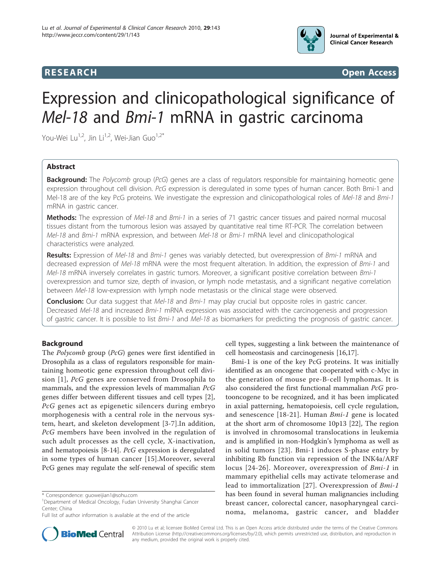

**RESEARCH CONSTRUCTED ACCESS** 

# Expression and clinicopathological significance of Mel-18 and Bmi-1 mRNA in gastric carcinoma

You-Wei Lu<sup>1,2</sup>, Jin Li<sup>1,2</sup>, Wei-Jian Guo<sup>1,2\*</sup>

# Abstract

**Background:** The Polycomb group (PcG) genes are a class of regulators responsible for maintaining homeotic gene expression throughout cell division. PcG expression is deregulated in some types of human cancer. Both Bmi-1 and Mel-18 are of the key PcG proteins. We investigate the expression and clinicopathological roles of Mel-18 and Bmi-1 mRNA in gastric cancer.

Methods: The expression of Mel-18 and Bmi-1 in a series of 71 gastric cancer tissues and paired normal mucosal tissues distant from the tumorous lesion was assayed by quantitative real time RT-PCR. The correlation between Mel-18 and Bmi-1 mRNA expression, and between Mel-18 or Bmi-1 mRNA level and clinicopathological characteristics were analyzed.

Results: Expression of Mel-18 and Bmi-1 genes was variably detected, but overexpression of Bmi-1 mRNA and decreased expression of Mel-18 mRNA were the most frequent alteration. In addition, the expression of Bmi-1 and Mel-18 mRNA inversely correlates in gastric tumors. Moreover, a significant positive correlation between Bmi-1 overexpression and tumor size, depth of invasion, or lymph node metastasis, and a significant negative correlation between Mel-18 low-expression with lymph node metastasis or the clinical stage were observed.

**Conclusion:** Our data suggest that Mel-18 and Bmi-1 may play crucial but opposite roles in gastric cancer. Decreased Mel-18 and increased Bmi-1 mRNA expression was associated with the carcinogenesis and progression of gastric cancer. It is possible to list Bmi-1 and Mel-18 as biomarkers for predicting the prognosis of gastric cancer.

# Background

The Polycomb group (PcG) genes were first identified in Drosophila as a class of regulators responsible for maintaining homeotic gene expression throughout cell division [\[1\]](#page-4-0), PcG genes are conserved from Drosophila to mammals, and the expression levels of mammalian PcG genes differ between different tissues and cell types [\[2](#page-4-0)], PcG genes act as epigenetic silencers during embryo morphogenesis with a central role in the nervous system, heart, and skeleton development [\[3](#page-4-0)[-7](#page-5-0)].In addition, PcG members have been involved in the regulation of such adult processes as the cell cycle, X-inactivation, and hematopoiesis [[8-14](#page-5-0)]. PcG expression is deregulated in some types of human cancer [[15\]](#page-5-0).Moreover, several PcG genes may regulate the self-renewal of specific stem

Full list of author information is available at the end of the article



cell types, suggesting a link between the maintenance of cell homeostasis and carcinogenesis [[16](#page-5-0),[17](#page-5-0)].

Bmi-1 is one of the key PcG proteins. It was initially identified as an oncogene that cooperated with c-Myc in the generation of mouse pre-B-cell lymphomas. It is also considered the first functional mammalian PcG protooncogene to be recognized, and it has been implicated in axial patterning, hematopoiesis, cell cycle regulation, and senescence [[18](#page-5-0)-[21](#page-5-0)]. Human *Bmi-1* gene is located at the short arm of chromosome 10p13 [[22\]](#page-5-0), The region is involved in chromosomal translocations in leukemia and is amplified in non-Hodgkin's lymphoma as well as in solid tumors [[23](#page-5-0)]. Bmi-1 induces S-phase entry by inhibiting Rb function via repression of the INK4a/ARF locus [[24](#page-5-0)-[26\]](#page-5-0). Moreover, overexpression of Bmi-1 in mammary epithelial cells may activate telomerase and lead to immortalization [\[27\]](#page-5-0). Overexpression of Bmi-1 has been found in several human malignancies including breast cancer, colorectal cancer, nasopharyngeal carcinoma, melanoma, gastric cancer, and bladder

© 2010 Lu et al; licensee BioMed Central Ltd. This is an Open Access article distributed under the terms of the Creative Commons Attribution License [\(http://creativecommons.org/licenses/by/2.0](http://creativecommons.org/licenses/by/2.0)), which permits unrestricted use, distribution, and reproduction in any medium, provided the original work is properly cited.

<sup>\*</sup> Correspondence: [guoweijian1@sohu.com](mailto:guoweijian1@sohu.com)

<sup>&</sup>lt;sup>1</sup>Department of Medical Oncology, Fudan University Shanghai Cancer Center; China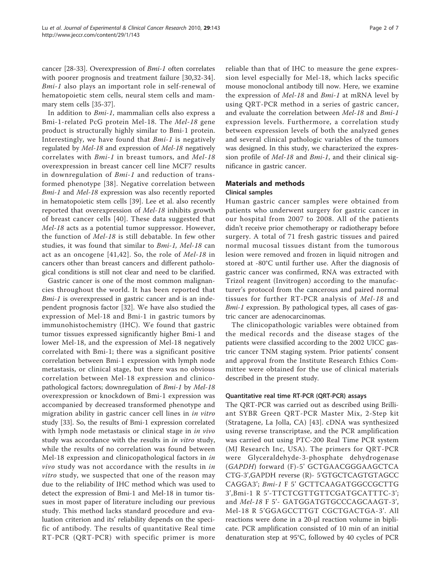cancer [[28](#page-5-0)-[33\]](#page-5-0). Overexpression of Bmi-1 often correlates with poorer prognosis and treatment failure [\[30,32-34](#page-5-0)]. Bmi-1 also plays an important role in self-renewal of hematopoietic stem cells, neural stem cells and mammary stem cells [\[35-37](#page-5-0)].

In addition to Bmi-1, mammalian cells also express a Bmi-1-related PcG protein Mel-18. The Mel-18 gene product is structurally highly similar to Bmi-1 protein. Interestingly, we have found that Bmi-1 is negatively regulated by Mel-18 and expression of Mel-18 negatively correlates with Bmi-1 in breast tumors, and Mel-18 overexpression in breast cancer cell line MCF7 results in downregulation of *Bmi-1* and reduction of transformed phenotype [[38\]](#page-5-0). Negative correlation between Bmi-1 and Mel-18 expression was also recently reported in hematopoietic stem cells [[39\]](#page-5-0). Lee et al. also recently reported that overexpression of Mel-18 inhibits growth of breast cancer cells [[40](#page-5-0)]. These data suggested that Mel-18 acts as a potential tumor suppressor. However, the function of Mel-18 is still debatable. In few other studies, it was found that similar to Bmi-1, Mel-18 can act as an oncogene [[41](#page-5-0),[42](#page-5-0)]. So, the role of Mel-18 in cancers other than breast cancers and different pathological conditions is still not clear and need to be clarified.

Gastric cancer is one of the most common malignancies throughout the world. It has been reported that Bmi-1 is overexpressed in gastric cancer and is an independent prognosis factor [[32\]](#page-5-0). We have also studied the expression of Mel-18 and Bmi-1 in gastric tumors by immunohistochemistry (IHC). We found that gastric tumor tissues expressed significantly higher Bmi-1 and lower Mel-18, and the expression of Mel-18 negatively correlated with Bmi-1; there was a significant positive correlation between Bmi-1 expression with lymph node metastasis, or clinical stage, but there was no obvious correlation between Mel-18 expression and clinicopathological factors; downregulation of Bmi-1 by Mel-18 overexpression or knockdown of Bmi-1 expression was accompanied by decreased transformed phenotype and migration ability in gastric cancer cell lines in in vitro study [[33\]](#page-5-0). So, the results of Bmi-1 expression correlated with lymph node metastasis or clinical stage in in vivo study was accordance with the results in in vitro study, while the results of no correlation was found between Mel-18 expression and clinicopathological factors in in *vivo* study was not accordance with the results in *in* vitro study, we suspected that one of the reason may due to the reliability of IHC method which was used to detect the expression of Bmi-1 and Mel-18 in tumor tissues in most paper of literature including our previous study. This method lacks standard procedure and evaluation criterion and its' reliability depends on the specific of antibody. The results of quantitative Real time RT-PCR (QRT-PCR) with specific primer is more reliable than that of IHC to measure the gene expression level especially for Mel-18, which lacks specific mouse monoclonal antibody till now. Here, we examine the expression of Mel-18 and Bmi-1 at mRNA level by using QRT-PCR method in a series of gastric cancer, and evaluate the correlation between Mel-18 and Bmi-1 expression levels. Furthermore, a correlation study between expression levels of both the analyzed genes and several clinical pathologic variables of the tumors was designed. In this study, we characterized the expression profile of Mel-18 and Bmi-1, and their clinical significance in gastric cancer.

# Materials and methods Clinical samples

Human gastric cancer samples were obtained from patients who underwent surgery for gastric cancer in our hospital from 2007 to 2008. All of the patients didn't receive prior chemotherapy or radiotherapy before surgery. A total of 71 fresh gastric tissues and paired normal mucosal tissues distant from the tumorous lesion were removed and frozen in liquid nitrogen and stored at -80°C until further use. After the diagnosis of gastric cancer was confirmed, RNA was extracted with Trizol reagent (Invitrogen) according to the manufacturer's protocol from the cancerous and paired normal tissues for further RT-PCR analysis of Mel-18 and Bmi-1 expression. By pathological types, all cases of gastric cancer are adenocarcinomas.

The clinicopathologic variables were obtained from the medical records and the disease stages of the patients were classified according to the 2002 UICC gastric cancer TNM staging system. Prior patients' consent and approval from the Institute Research Ethics Committee were obtained for the use of clinical materials described in the present study.

# Quantitative real time RT-PCR (QRT-PCR) assays

The QRT-PCR was carried out as described using Brilliant SYBR Green QRT-PCR Master Mix, 2-Step kit (Stratagene, La Jolla, CA) [[43](#page-5-0)]. cDNA was synthesized using reverse transcriptase, and the PCR amplification was carried out using PTC-200 Real Time PCR system (MJ Research Inc, USA). The primers for QRT-PCR were Glyceraldehyde-3-phosphate dehydrogenase (GAPDH) forward (F)-5' GCTGAACGGGAAGCTCA CTG-3',GAPDH reverse (R)- 5'GTGCTCAGTGTAGCC CAGGA3'; Bmi-1 F 5' GCTTCAAGATGGCCGCTTG 3',Bmi-1 R 5'-TTCTCGTTGTTCGATGCATTTC-3'; and Mel-18 F 5'- GATGGATGTGCCCAGCAAGT-3', Mel-18 R 5'GGAGCCTTGT CGCTGACTGA-3'. All reactions were done in a 20-μl reaction volume in biplicate. PCR amplification consisted of 10 min of an initial denaturation step at 95°C, followed by 40 cycles of PCR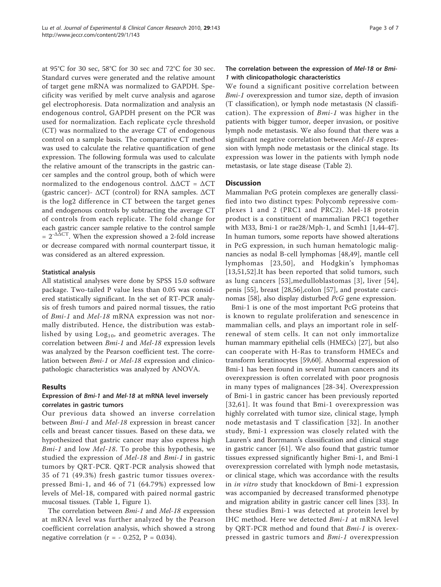at 95°C for 30 sec, 58°C for 30 sec and 72°C for 30 sec. Standard curves were generated and the relative amount of target gene mRNA was normalized to GAPDH. Specificity was verified by melt curve analysis and agarose gel electrophoresis. Data normalization and analysis an endogenous control, GAPDH present on the PCR was used for normalization. Each replicate cycle threshold (CT) was normalized to the average CT of endogenous control on a sample basis. The comparative CT method was used to calculate the relative quantification of gene expression. The following formula was used to calculate the relative amount of the transcripts in the gastric cancer samples and the control group, both of which were normalized to the endogenous control.  $ΔΔCT = ΔCT$ (gastric cancer)- ΔCT (control) for RNA samples. ΔCT is the log2 difference in CT between the target genes and endogenous controls by subtracting the average CT of controls from each replicate. The fold change for each gastric cancer sample relative to the control sample  $= 2^{-\Delta \Delta CT}$ . When the expression showed a 2-fold increase or decrease compared with normal counterpart tissue, it was considered as an altered expression.

#### Statistical analysis

All statistical analyses were done by SPSS 15.0 software package. Two-tailed P value less than 0.05 was considered statistically significant. In the set of RT-PCR analysis of fresh tumors and paired normal tissues, the ratio of Bmi-1 and Mel-18 mRNA expression was not normally distributed. Hence, the distribution was established by using  $Log<sub>10</sub>$ , and geometric averages. The correlation between Bmi-1 and Mel-18 expression levels was analyzed by the Pearson coefficient test. The correlation between Bmi-1 or Mel-18 expression and clinicopathologic characteristics was analyzed by ANOVA.

#### Results

# Expression of Bmi-1 and Mel-18 at mRNA level inversely correlates in gastric tumors

Our previous data showed an inverse correlation between Bmi-1 and Mel-18 expression in breast cancer cells and breast cancer tissues. Based on these data, we hypothesized that gastric cancer may also express high Bmi-1 and low Mel-18. To probe this hypothesis, we studied the expression of Mel-18 and Bmi-1 in gastric tumors by QRT-PCR. QRT-PCR analysis showed that 35 of 71 (49.3%) fresh gastric tumor tissues overexpressed Bmi-1, and 46 of 71 (64.79%) expressed low levels of Mel-18, compared with paired normal gastric mucosal tissues. (Table [1,](#page-3-0) Figure [1\)](#page-3-0).

The correlation between *Bmi-1* and *Mel-18* expression at mRNA level was further analyzed by the Pearson coefficient correlation analysis, which showed a strong negative correlation ( $r = -0.252$ ,  $P = 0.034$ ).

# The correlation between the expression of Mel-18 or Bmi-1 with clinicopathologic characteristics

We found a significant positive correlation between Bmi-1 overexpression and tumor size, depth of invasion (T classification), or lymph node metastasis (N classification). The expression of  $Bmi-1$  was higher in the patients with bigger tumor, deeper invasion, or positive lymph node metastasis. We also found that there was a significant negative correlation between Mel-18 expression with lymph node metastasis or the clinical stage. Its expression was lower in the patients with lymph node metastasis, or late stage disease (Table [2\)](#page-4-0).

# **Discussion**

Mammalian PcG protein complexes are generally classified into two distinct types: Polycomb repressive complexes 1 and 2 (PRC1 and PRC2). Mel-18 protein product is a constituent of mammalian PRC1 together with M33, Bmi-1 or rae28/Mph-1, and Scmh1 [[1,](#page-4-0)[44](#page-5-0)[-47](#page-6-0)]. In human tumors, some reports have showed alterations in PcG expression, in such human hematologic malignancies as nodal B-cell lymphomas [[48,49\]](#page-6-0), mantle cell lymphomas [[23](#page-5-0),[50\]](#page-6-0), and Hodgkin's lymphomas [[13](#page-5-0),[51,52](#page-6-0)].It has been reported that solid tumors, such as lung cancers [[53\]](#page-6-0),medulloblastomas [[3\]](#page-4-0), liver [[54\]](#page-6-0), penis [[55\]](#page-6-0), breast [[28,](#page-5-0)[56\]](#page-6-0),colon [[57\]](#page-6-0), and prostate carcinomas [[58\]](#page-6-0), also display disturbed PcG gene expression.

Bmi-1 is one of the most important PcG proteins that is known to regulate proliferation and senescence in mammalian cells, and plays an important role in selfrenewal of stem cells. It can not only immortalize human mammary epithelial cells (HMECs) [[27](#page-5-0)], but also can cooperate with H-Ras to transform HMECs and transform keratinocytes [[59,60\]](#page-6-0). Abnormal expression of Bmi-1 has been found in several human cancers and its overexpression is often correlated with poor prognosis in many types of malignances [\[28-34\]](#page-5-0). Overexpression of Bmi-1 in gastric cancer has been previously reported [[32,](#page-5-0)[61\]](#page-6-0). It was found that Bmi-1 overexpression was highly correlated with tumor size, clinical stage, lymph node metastasis and T classification [[32\]](#page-5-0). In another study, Bmi-1 expression was closely related with the Lauren's and Borrmann's classification and clinical stage in gastric cancer [[61\]](#page-6-0). We also found that gastric tumor tissues expressed significantly higher Bmi-1, and Bmi-1 overexpression correlated with lymph node metastasis, or clinical stage, which was accordance with the results in in vitro study that knockdown of Bmi-1 expression was accompanied by decreased transformed phenotype and migration ability in gastric cancer cell lines [\[33\]](#page-5-0). In these studies Bmi-1 was detected at protein level by IHC method. Here we detected Bmi-1 at mRNA level by QRT-PCR method and found that Bmi-1 is overexpressed in gastric tumors and *Bmi-1* overexpression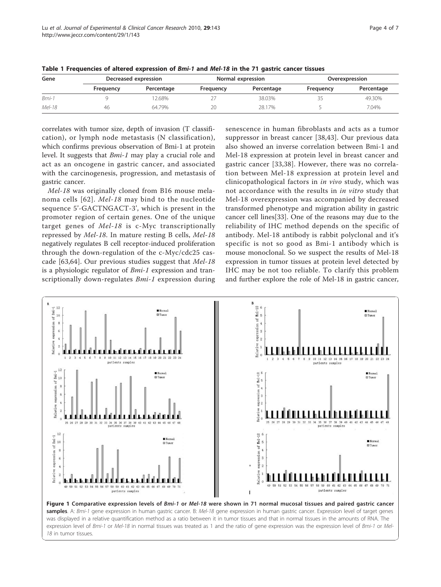| Gene   | Decreased expression |            |           | Normal expression | Overexpression |            |  |
|--------|----------------------|------------|-----------|-------------------|----------------|------------|--|
|        | Frequency            | Percentage | Frequency | Percentage        | Frequency      | Percentage |  |
| Bmi-1  |                      | 2.68%      |           | 38.03%            |                | 49.30%     |  |
| Mel-18 | 46                   | 64.79%     | 20        | 28.17%            |                | 7.04%      |  |

<span id="page-3-0"></span>Table 1 Frequencies of altered expression of Bmi-1 and Mel-18 in the 71 gastric cancer tissues

correlates with tumor size, depth of invasion (T classification), or lymph node metastasis (N classification), which confirms previous observation of Bmi-1 at protein level. It suggests that Bmi-1 may play a crucial role and act as an oncogene in gastric cancer, and associated with the carcinogenesis, progression, and metastasis of gastric cancer.

Mel-18 was originally cloned from B16 mouse melanoma cells [[62\]](#page-6-0). Mel-18 may bind to the nucleotide sequence 5'-GACTNGACT-3', which is present in the promoter region of certain genes. One of the unique target genes of Mel-18 is c-Myc transcriptionally repressed by Mel-18. In mature resting B cells, Mel-18 negatively regulates B cell receptor-induced proliferation through the down-regulation of the c-Myc/cdc25 cascade [\[63,64\]](#page-6-0). Our previous studies suggest that Mel-18 is a physiologic regulator of *Bmi-1* expression and transcriptionally down-regulates *Bmi-1* expression during

senescence in human fibroblasts and acts as a tumor suppressor in breast cancer [[38](#page-5-0),[43\]](#page-5-0). Our previous data also showed an inverse correlation between Bmi-1 and Mel-18 expression at protein level in breast cancer and gastric cancer [[33,38\]](#page-5-0). However, there was no correlation between Mel-18 expression at protein level and clinicopathological factors in in vivo study, which was not accordance with the results in in vitro study that Mel-18 overexpression was accompanied by decreased transformed phenotype and migration ability in gastric cancer cell lines[\[33](#page-5-0)]. One of the reasons may due to the reliability of IHC method depends on the specific of antibody. Mel-18 antibody is rabbit polyclonal and it's specific is not so good as Bmi-1 antibody which is mouse monoclonal. So we suspect the results of Mel-18 expression in tumor tissues at protein level detected by IHC may be not too reliable. To clarify this problem and further explore the role of Mel-18 in gastric cancer,



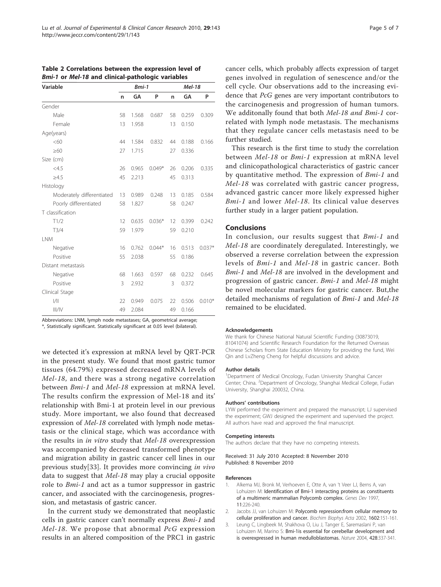| Variable                  |    | Bmi-1 |          |    | Mel-18 |          |
|---------------------------|----|-------|----------|----|--------|----------|
|                           | n  | GA    | P        | n  | GA     | P        |
| Gender                    |    |       |          |    |        |          |
| Male                      | 58 | 1.568 | 0.687    | 58 | 0.259  | 0.309    |
| Female                    | 13 | 1.958 |          | 13 | 0.150  |          |
| Age(years)                |    |       |          |    |        |          |
| <60                       | 44 | 1.584 | 0.832    | 44 | 0.188  | 0.166    |
| $\geq 60$                 | 27 | 1.715 |          | 27 | 0.336  |          |
| Size (cm)                 |    |       |          |    |        |          |
| <4.5                      | 26 | 0.965 | $0.049*$ | 26 | 0.206  | 0.335    |
| >4.5                      | 45 | 2.213 |          | 45 | 0.313  |          |
| Histology                 |    |       |          |    |        |          |
| Moderately differentiated | 13 | 0.989 | 0.248    | 13 | 0.185  | 0.584    |
| Poorly differentiated     | 58 | 1.827 |          | 58 | 0.247  |          |
| T classification          |    |       |          |    |        |          |
| T1/2                      | 12 | 0.635 | $0.036*$ | 12 | 0.399  | 0.242    |
| T3/4                      | 59 | 1.979 |          | 59 | 0.210  |          |
| <b>INM</b>                |    |       |          |    |        |          |
| Negative                  | 16 | 0.762 | $0.044*$ | 16 | 0.513  | $0.037*$ |
| Positive                  | 55 | 2.038 |          | 55 | 0.186  |          |
| Distant metastasis        |    |       |          |    |        |          |
| Negative                  | 68 | 1.663 | 0.597    | 68 | 0.232  | 0.645    |
| Positive                  | 3  | 2.932 |          | 3  | 0.372  |          |
| Clinical Stage            |    |       |          |    |        |          |
| 1/11                      | 22 | 0.949 | 0.075    | 22 | 0.506  | $0.010*$ |
| III/IV                    | 49 | 2.084 |          | 49 | 0.166  |          |

<span id="page-4-0"></span>Table 2 Correlations between the expression level of Bmi-1 or Mel-18 and clinical-pathologic variables

Abbreviations: LNM, lymph node metastases; GA, geometrical average;

\*, Statistically significant. Statistically significant at 0.05 level (bilateral).

we detected it's expression at mRNA level by QRT-PCR in the present study. We found that most gastric tumor tissues (64.79%) expressed decreased mRNA levels of Mel-18, and there was a strong negative correlation between Bmi-1 and Mel-18 expression at mRNA level. The results confirm the expression of Mel-18 and its' relationship with Bmi-1 at protein level in our previous study. More important, we also found that decreased expression of Mel-18 correlated with lymph node metastasis or the clinical stage, which was accordance with the results in in vitro study that Mel-18 overexpression was accompanied by decreased transformed phenotype and migration ability in gastric cancer cell lines in our previous study[[33\]](#page-5-0). It provides more convincing in vivo data to suggest that Mel-18 may play a crucial opposite role to Bmi-1 and act as a tumor suppressor in gastric cancer, and associated with the carcinogenesis, progression, and metastasis of gastric cancer.

In the current study we demonstrated that neoplastic cells in gastric cancer can't normally express Bmi-1 and Mel-18. We propose that abnormal PcG expression results in an altered composition of the PRC1 in gastric cancer cells, which probably affects expression of target genes involved in regulation of senescence and/or the cell cycle. Our observations add to the increasing evidence that PcG genes are very important contributors to the carcinogenesis and progression of human tumors. We additonally found that both Mel-18 and Bmi-1 correlated with lymph node metastasis. The mechanisms that they regulate cancer cells metastasis need to be further studied.

This research is the first time to study the correlation between Mel-18 or Bmi-1 expression at mRNA level and clinicopathological characteristics of gastric cancer by quantitative method. The expression of Bmi-1 and Mel-18 was correlated with gastric cancer progress, advanced gastric cancer more likely expressed higher Bmi-1 and lower Mel-18. Its clinical value deserves further study in a larger patient population.

#### Conclusions

In conclusion, our results suggest that Bmi-1 and Mel-18 are coordinately deregulated. Interestingly, we observed a reverse correlation between the expression levels of Bmi-1 and Mel-18 in gastric cancer. Both Bmi-1 and Mel-18 are involved in the development and progression of gastric cancer. Bmi-1 and Mel-18 might be novel molecular markers for gastric cancer. But,the detailed mechanisms of regulation of Bmi-1 and Mel-18 remained to be elucidated.

#### Acknowledgements

We thank for Chinese National Natural Scientific Funding (30873019, 81041074) and Scientific Research Foundation for the Returned Overseas Chinese Scholars from State Education Ministry for providing the fund, Wei Qin and LvZheng Cheng for helpful discussions and advice.

#### Author details

<sup>1</sup>Department of Medical Oncology, Fudan University Shanghai Cancer Center; China. <sup>2</sup>Department of Oncology, Shanghai Medical College, Fudan University, Shanghai 200032, China.

#### Authors' contributions

LYW performed the experiment and prepared the manuscript; LJ supervised the experiment; GWJ designed the experiment and supervised the project. All authors have read and approved the final manuscript.

#### Competing interests

The authors declare that they have no competing interests.

Received: 31 July 2010 Accepted: 8 November 2010 Published: 8 November 2010

#### References

- Alkema MJ, Bronk M, Verhoeven E, Otte A, van 't Veer LJ, Berns A, van Lohuizen M: [Identification of Bmi-1 interacting proteins as constituents](http://www.ncbi.nlm.nih.gov/pubmed/9009205?dopt=Abstract) [of a multimeric mammalian Polycomb complex.](http://www.ncbi.nlm.nih.gov/pubmed/9009205?dopt=Abstract) Genes Dev 1997, 11:226-240.
- 2. Jacobs JJ, van Lohuizen M: [Polycomb repression:from cellular memory to](http://www.ncbi.nlm.nih.gov/pubmed/12020801?dopt=Abstract) [cellular proliferation and cancer.](http://www.ncbi.nlm.nih.gov/pubmed/12020801?dopt=Abstract) Biochim Biophys Acta 2002, 1602:151-161.
- 3. Leung C, Lingbeek M, Shakhova O, Liu J, Tanger E, Saremaslani P, van Lohuizen M, Marino S: [Bmi-1is essential for cerebellar development and](http://www.ncbi.nlm.nih.gov/pubmed/15029199?dopt=Abstract) [is overexpressed in human medulloblastomas.](http://www.ncbi.nlm.nih.gov/pubmed/15029199?dopt=Abstract) Nature 2004, 428:337-341.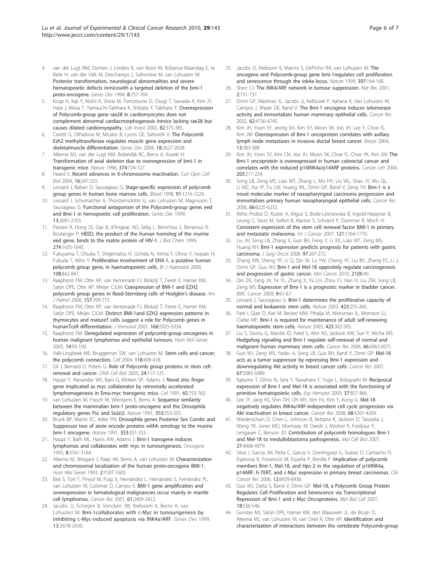- <span id="page-5-0"></span>4. van der Lugt NM, Domen J, Linders K, van Roon M, Robanus-Maandag E, te Riele H, van der Valk M, Deschamps J, Sofroniew M, van Lohuizen M: [Posterior transformation, neurological abnormalities and severe](http://www.ncbi.nlm.nih.gov/pubmed/7926765?dopt=Abstract) [hematopoietic defects inmicewith a targeted deletion of the bmi-1](http://www.ncbi.nlm.nih.gov/pubmed/7926765?dopt=Abstract) [proto-oncogene.](http://www.ncbi.nlm.nih.gov/pubmed/7926765?dopt=Abstract) Genes Dev 1994, 8:757-769.
- 5. Koga H, Kaji Y, Nishii K, Shirai M, Tomotsune D, Osugi T, Sawada A, Kim JY, Hara J, Miwa T, Yamauchi-Takihara K, Shibata Y, Takihara Y: [Overexpression](http://www.ncbi.nlm.nih.gov/pubmed/11950896?dopt=Abstract) [of Polycomb-group gene rae28 in cardiomyocytes does not](http://www.ncbi.nlm.nih.gov/pubmed/11950896?dopt=Abstract) [complement abnormal cardiacmorphogenesis inmice lacking rae28 but](http://www.ncbi.nlm.nih.gov/pubmed/11950896?dopt=Abstract) [causes dilated cardiomyopathy.](http://www.ncbi.nlm.nih.gov/pubmed/11950896?dopt=Abstract) Lab Invest 2002, 82:375-385.
- 6. Caretti G, DiPadova M, Micales B, Lyons GE, Sartorelli V: [The Polycomb](http://www.ncbi.nlm.nih.gov/pubmed/15520282?dopt=Abstract) [Ezh2 methyltransferase regulates muscle gene expression and](http://www.ncbi.nlm.nih.gov/pubmed/15520282?dopt=Abstract) [skeletalmuscle differentiation.](http://www.ncbi.nlm.nih.gov/pubmed/15520282?dopt=Abstract) Genes Dev 2004, 18:2627-2638.
- Alkema MJ, van der Lugt NM, Bobeldijk RC, Berns A, Koseki H: Transformation of axial skeleton due to overexpression of bmi-1 in transgenic mice. Nature 1996, 374:724-727.
- 8. Heard E: [Recent advances in X-chromosome inactivation.](http://www.ncbi.nlm.nih.gov/pubmed/15145348?dopt=Abstract) Curr Opin Cell Biol 2004, 16:247-255.
- 9. Lessard J, Baban D, Sauvageau G: [Stage-specific expression of polycomb](http://www.ncbi.nlm.nih.gov/pubmed/9454751?dopt=Abstract) [group genes in human bone marrow cells.](http://www.ncbi.nlm.nih.gov/pubmed/9454751?dopt=Abstract) Blood 1998, 91:1216-1224.
- 10. Lessard J, Schumacher A, Thorsteinsdottir U, van Lohuizen M, Magnuson T, Sauvageau G: [Functional antagonism of the Polycomb-group genes eed](http://www.ncbi.nlm.nih.gov/pubmed/10541555?dopt=Abstract) [and Bmi-1 in hemopoietic cell proliferation.](http://www.ncbi.nlm.nih.gov/pubmed/10541555?dopt=Abstract) Genes Dev 1999, 13:2691-2703.
- 11. Peytavi R, Hong SS, Gay B, d'Angeac AD, Selig L, Bénichou S, Benarous R, Boulanger P: [HEED, the product of the human homolog of the murine](http://www.ncbi.nlm.nih.gov/pubmed/9880543?dopt=Abstract) [eed gene, binds to the matrix protein of HIV-1.](http://www.ncbi.nlm.nih.gov/pubmed/9880543?dopt=Abstract) J Biol Chem 1999, 274:1635-1645.
- 12. Fukuyama T, Otsuka T, Shigematsu H, Uchida N, Arima F, Ohno Y, Iwasaki H, Fukuda T, Niho Y: [Proliferative involvement of ENX-1, a putative human](http://www.ncbi.nlm.nih.gov/pubmed/10792293?dopt=Abstract) [polycomb group gene, in haematopoietic cells.](http://www.ncbi.nlm.nih.gov/pubmed/10792293?dopt=Abstract) Br J Haematol 2000, 108:842-847.
- 13. Raaphorst FM, Otte AP, van Kemenade FJ, Blokzijl T, Fieret E, Hamer KM, Satijn DPE, Otte AP, Meijer CJLM: [Coexpression of BMI-1 and EZH2](http://www.ncbi.nlm.nih.gov/pubmed/10980109?dopt=Abstract) [polycomb group genes in Reed-Sternberg cells of Hodgkin](http://www.ncbi.nlm.nih.gov/pubmed/10980109?dopt=Abstract)'s disease. Am J Pathol 2000, 157:709-715.
- 14. Raaphorst FM, Otte AP, van Kemenade FJ, Blokzijl T, Fieret E, Hamer KM, Satijn DPE, Meijer CJLM: [Distinct BMI-1and EZH2 expression patterns in](http://www.ncbi.nlm.nih.gov/pubmed/11342607?dopt=Abstract) [thymocytes and matureT cells suggest a role for Polycomb genes in](http://www.ncbi.nlm.nih.gov/pubmed/11342607?dopt=Abstract) [humanTcell differentiation.](http://www.ncbi.nlm.nih.gov/pubmed/11342607?dopt=Abstract) J Immunol 2001, 166:5925-5934.
- 15. Raaphorst FM: Deregulated expression of polycomb-group oncogenes in human malignant lymphomas and epithelial tumours. Hum Mol Genet 2005, 14:93-100.
- 16. Valk-Lingbeek ME, Bruggeman SW, van Lohuizen M: [Stem cells and cancer;](http://www.ncbi.nlm.nih.gov/pubmed/15315754?dopt=Abstract) [the polycomb connection.](http://www.ncbi.nlm.nih.gov/pubmed/15315754?dopt=Abstract) Cell 2004, 118:409-418.
- 17. Gil J, Bernard D, Peters G: [Role of Polycomb group proteins in stem cell](http://www.ncbi.nlm.nih.gov/pubmed/15699631?dopt=Abstract)[renewal and cancer.](http://www.ncbi.nlm.nih.gov/pubmed/15699631?dopt=Abstract) DNA Cell Biol 2005, 24:117-125.
- 18. Haupt Y, Alexander WS, Barri G, Klinken SP, Adams J: [Novel zinc finger](http://www.ncbi.nlm.nih.gov/pubmed/1904009?dopt=Abstract) [gene implicated as myc collaborator by retrovirally accelerated](http://www.ncbi.nlm.nih.gov/pubmed/1904009?dopt=Abstract) [lymphomagenesis in Emu-myc transgenic mice.](http://www.ncbi.nlm.nih.gov/pubmed/1904009?dopt=Abstract) Cell 1991, 65:753-763.
- 19. van Lohuizen M, Frasch M, Wientjens E, Berns A: [Sequence similarity](http://www.ncbi.nlm.nih.gov/pubmed/1922340?dopt=Abstract) [between the mammalian bmi-1 proto-oncogene and the Drosophila](http://www.ncbi.nlm.nih.gov/pubmed/1922340?dopt=Abstract) [regulatory genes Psc and Su\(z\)2.](http://www.ncbi.nlm.nih.gov/pubmed/1922340?dopt=Abstract) Nature 1991, 353:353-355.
- 20. Brunk BP, Martin EC, Adler PN: [Drosophila genes Posterior Sex Combs and](http://www.ncbi.nlm.nih.gov/pubmed/1833647?dopt=Abstract) [Suppressor two of zeste encode proteins withh omology to the murine](http://www.ncbi.nlm.nih.gov/pubmed/1833647?dopt=Abstract) [bmi-1 oncogene.](http://www.ncbi.nlm.nih.gov/pubmed/1833647?dopt=Abstract) Nature 1991, 353:351-353.
- 21. Haupt Y, Bath ML, Harris AW, Adams J: [Bmi-1 transgene induces](http://www.ncbi.nlm.nih.gov/pubmed/8414519?dopt=Abstract) [lymphomas and collaborates with myc in tumourigenesis.](http://www.ncbi.nlm.nih.gov/pubmed/8414519?dopt=Abstract) Oncogene 1993, 8:3161-3164.
- 22. Alkema M, Wiegant J, Raap AK, Bems A, van Lohuizen M: [Characterization](http://www.ncbi.nlm.nih.gov/pubmed/8268912?dopt=Abstract) [and chromosomal localization of the human proto-oncogene BMI-1.](http://www.ncbi.nlm.nih.gov/pubmed/8268912?dopt=Abstract) Hum Mol Genet 1993, 2:1597-1603.
- 23. Beà S, Tort F, Pinyol M, Puig X, Hernández L, Hernández S, Fernández PL, van Lohuizen M, Colomer D, Campo E: [BMI-1 gene amplification and](http://www.ncbi.nlm.nih.gov/pubmed/11289106?dopt=Abstract) [overexpression in hematological malignancies occur mainly in mantle](http://www.ncbi.nlm.nih.gov/pubmed/11289106?dopt=Abstract) [cell lymphomas.](http://www.ncbi.nlm.nih.gov/pubmed/11289106?dopt=Abstract) Cancer Res 2001, 61:2409-2412.
- 24. Jacobs JJ, Scheijen B, Voncken JW, Kieboom K, Berns A, van Lohuizen M: [Bmi-1collaborates with c-Myc in tumourigenesis by](http://www.ncbi.nlm.nih.gov/pubmed/10541554?dopt=Abstract) [inhibiting c-Myc-induced apoptosis via INK4a/ARF.](http://www.ncbi.nlm.nih.gov/pubmed/10541554?dopt=Abstract) Genes Dev 1999, 13:2678-2690.
- 25. Jacobs JJ, Kieboom K, Marino S, DePinho RA, van Lohuizen M: [The](http://www.ncbi.nlm.nih.gov/pubmed/9923679?dopt=Abstract) [oncogene and Polycomb-group gene bmi-1regulates cell proliferation](http://www.ncbi.nlm.nih.gov/pubmed/9923679?dopt=Abstract) [and senescence through the ink4a locus.](http://www.ncbi.nlm.nih.gov/pubmed/9923679?dopt=Abstract) Nature 1999, 397:164-168.
- 26. Sherr CJ: The INK4/ARF network in tumour suppression. Nat Rev 2001, 2:731-737.
- 27. Dimri GP, Martinez JL, Jacobs JJ, Keblusek P, Itahana K, Van Lohuizen M, Campisi J, Wazer DE, Band V: [The Bmi-1 oncogene induces telomerase](http://www.ncbi.nlm.nih.gov/pubmed/12183433?dopt=Abstract) [activity and immortalizes human mammary epithelial cells.](http://www.ncbi.nlm.nih.gov/pubmed/12183433?dopt=Abstract) Cancer Res 2002, 62:4736-4745.
- 28. Kim JH, Yoon SY, Jeong SH, Kim SY, Moon SK, Joo JH, Lee Y, Choe IS, Kim JW: [Overexpression of Bmi-1 oncoprotein correlates with axillary](http://www.ncbi.nlm.nih.gov/pubmed/15454193?dopt=Abstract) [lymph node metastases in invasive ductal breast cancer.](http://www.ncbi.nlm.nih.gov/pubmed/15454193?dopt=Abstract) Breast 2004, 13:383-388.
- Kim JH, Yoon SY, Kim CN, Joo JH, Moon SK, Choe IS, Choe YK, Kim JW: [The](http://www.ncbi.nlm.nih.gov/pubmed/14732230?dopt=Abstract) [Bmi-1 oncoprotein is overexpressed in human colorectal cancer and](http://www.ncbi.nlm.nih.gov/pubmed/14732230?dopt=Abstract) [correlates with the reduced p16INK4a/p14ARF proteins.](http://www.ncbi.nlm.nih.gov/pubmed/14732230?dopt=Abstract) Cancer Lett 2004, 203:217-224.
- 30. Song LB, Zeng MS, Liao WT, Zhang L, Mo HY, Liu WL, Shao JY, Wu QL, Li MZ, Xia YF, Fu LW, Huang WL, Dimri GP, Band V, Zeng YX: [Bmi-1 is a](http://www.ncbi.nlm.nih.gov/pubmed/16778197?dopt=Abstract) [novel molecular marker of nasopharyngeal carcinoma progression and](http://www.ncbi.nlm.nih.gov/pubmed/16778197?dopt=Abstract) [immortalizes primary human nasopharyngeal epithelial cells.](http://www.ncbi.nlm.nih.gov/pubmed/16778197?dopt=Abstract) Cancer Res 2006, 66:6225-6232.
- 31. Mihic-Probst D, Kuster A, Kilgus S, Bode-Lesniewska B, Ingold-Heppner B, Leung C, Storz M, Seifert B, Marino S, Schraml P, Dummer R, Moch H: [Consistent expression of the stem cell renewal factor BMI-1 in primary](http://www.ncbi.nlm.nih.gov/pubmed/17597110?dopt=Abstract) [and metastatic melanoma.](http://www.ncbi.nlm.nih.gov/pubmed/17597110?dopt=Abstract) Int J Cancer 2007, 121:1764-1770.
- 32. Liu JH, Song LB, Zhang X, Guo BH, Feng Y, Li XX, Liao WT, Zeng MS, Huang KH: [Bmi-1 expression predicts prognosis for patients with gastric](http://www.ncbi.nlm.nih.gov/pubmed/18041745?dopt=Abstract) [carcinoma.](http://www.ncbi.nlm.nih.gov/pubmed/18041745?dopt=Abstract) J Surg Oncol 2008, 97:267-272.
- 33. Zhang XW, Sheng YP, Li Q, Qin W, Lu YW, Cheng YF, Liu BY, Zhang FC, Li J, Dimri GP, Guo WJ: Bmi-1 and Mel-18 oppositely regulate carcinogenesis and progression of gastric cancer. Mol Cancer 2010, 21(9):40.
- 34. Qin ZK, Yang JA, Ye YL, Zhang X, Xu LH, Zhou FJ, Han H, Liu ZW, Song LB, Zeng MS: [Expression of Bmi-1 is a prognostic marker in bladder cancer.](http://www.ncbi.nlm.nih.gov/pubmed/19228380?dopt=Abstract) BMC Cancer 2009, 9:61-67.
- 35. Lessard J, Sauvageau G: [Bmi-1 determines the proliferative capacity of](http://www.ncbi.nlm.nih.gov/pubmed/12714970?dopt=Abstract) [normal and leukaemic stem cells.](http://www.ncbi.nlm.nih.gov/pubmed/12714970?dopt=Abstract) Nature 2003, 423:255-260.
- 36. Park I, Qian D, Kiel M, Becker MW, Pihalja M, Weissman IL, Morrison SJ, Clarke MF: [Bmi-1 is required for maintenance of adult self-renewing](http://www.ncbi.nlm.nih.gov/pubmed/12714971?dopt=Abstract) [haematopoietic stem cells.](http://www.ncbi.nlm.nih.gov/pubmed/12714971?dopt=Abstract) Nature 2003, 423:302-305.
- 37. Liu S, Dontu G, Mantle ID, Patel S, Ahn NS, Jackson KW, Suri P, Wicha MS: [Hedgehog signaling and Bmi-1 regulate self-renewal of normal and](http://www.ncbi.nlm.nih.gov/pubmed/16778178?dopt=Abstract) [malignant human mammary stem cells.](http://www.ncbi.nlm.nih.gov/pubmed/16778178?dopt=Abstract) Cancer Res 2006, 66:6063-6071.
- 38. Guo WJ, Zeng MS, Yadav A, Song LB, Guo BH, Band V, Dimri GP: [Mel-18](http://www.ncbi.nlm.nih.gov/pubmed/17545584?dopt=Abstract) [acts as a tumor suppressor by repressing Bmi-1 expression and](http://www.ncbi.nlm.nih.gov/pubmed/17545584?dopt=Abstract) [downregulating Akt activity in breast cancer cells.](http://www.ncbi.nlm.nih.gov/pubmed/17545584?dopt=Abstract) Cancer Res 2007, 67:5083-5089.
- 39. Kajiume T, Ohno N, Sera Y, Kawahara Y, Yuge L, Kobayashi M: [Reciprocal](http://www.ncbi.nlm.nih.gov/pubmed/19409954?dopt=Abstract) [expression of Bmi-1 and Mel-18 is associated with the functioning of](http://www.ncbi.nlm.nih.gov/pubmed/19409954?dopt=Abstract) [primitive hematopoietic cells.](http://www.ncbi.nlm.nih.gov/pubmed/19409954?dopt=Abstract) Exp Hematol 2009, 37:857-866.
- 40. Lee JY, Jang KS, Shin DH, Oh MY, Kim HJ, Kim Y, Kong G: [Mel-18](http://www.ncbi.nlm.nih.gov/pubmed/18519679?dopt=Abstract) [negatively regulates INK4a/ARF-independent cell cycle progression via](http://www.ncbi.nlm.nih.gov/pubmed/18519679?dopt=Abstract) [Akt inactivation in breast cancer.](http://www.ncbi.nlm.nih.gov/pubmed/18519679?dopt=Abstract) Cancer Res 2008, 68:4201-4209.
- 41. Wiederschain D, Chen L, Johnson B, Bettano K, Jackson D, Taraszka J, Wang YK, Jones MD, Morrissey M, Deeds J, Mosher R, Fordjour P, Lengauer C, Benson JD: [Contribution of polycomb homologues Bmi-1](http://www.ncbi.nlm.nih.gov/pubmed/17452456?dopt=Abstract) [and Mel-18 to medulloblastoma pathogenesis.](http://www.ncbi.nlm.nih.gov/pubmed/17452456?dopt=Abstract) Mol Cell Biol 2007, 27:4968-4979.
- 42. Silva J, García JM, Peña C, García V, Domínguez G, Suárez D, Camacho FI, Espinosa R, Provencio M, España P, Bonilla F: [Implication of polycomb](http://www.ncbi.nlm.nih.gov/pubmed/17145810?dopt=Abstract) [members Bmi-1, Mel-18, and Hpc-2 in the regulation of p16INK4a,](http://www.ncbi.nlm.nih.gov/pubmed/17145810?dopt=Abstract) [p14ARF, h-TERT, and c-Myc expression in primary breast carcinomas.](http://www.ncbi.nlm.nih.gov/pubmed/17145810?dopt=Abstract) Clin Cancer Res 2006, 12:6929-6936.
- 43. Guo WJ, Datta S, Band V, Dimri GP: [Mel-18, a Polycomb Group Protein](http://www.ncbi.nlm.nih.gov/pubmed/17151361?dopt=Abstract) [Regulates Cell Proliferation and Senescence via Transcriptional](http://www.ncbi.nlm.nih.gov/pubmed/17151361?dopt=Abstract) [Repression of Bmi-1 and c-Myc Oncoproteins.](http://www.ncbi.nlm.nih.gov/pubmed/17151361?dopt=Abstract) Mol Biol Cell 2007, 18:536-546.
- 44. Gunster MJ, Satijn DPE, Hamer KM, den Blaauwen JL, de Bruijn D, Alkema MJ, van Lohuizen M, van Driel R, Otte AP: [Identification and](http://www.ncbi.nlm.nih.gov/pubmed/9121482?dopt=Abstract) [characterization of interactions between the vertebrate Polycomb-group](http://www.ncbi.nlm.nih.gov/pubmed/9121482?dopt=Abstract)